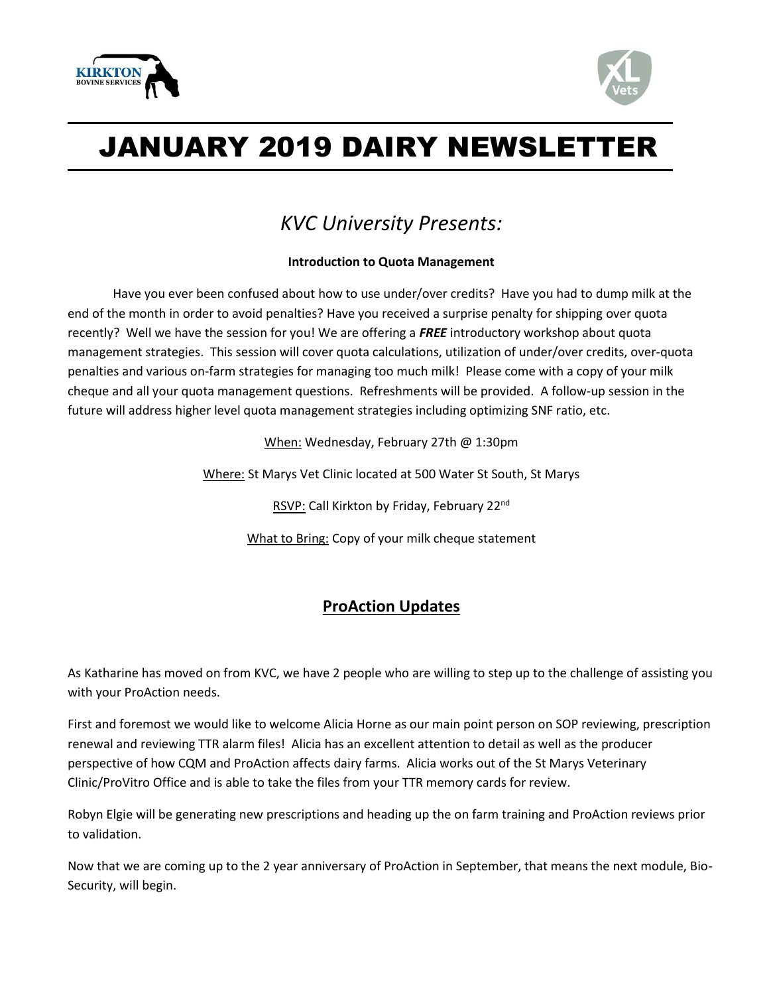



# JANUARY 2019 DAIRY NEWSLETTER

## *KVC University Presents:*

#### **Introduction to Quota Management**

Have you ever been confused about how to use under/over credits? Have you had to dump milk at the end of the month in order to avoid penalties? Have you received a surprise penalty for shipping over quota recently? Well we have the session for you! We are offering a *FREE* introductory workshop about quota management strategies. This session will cover quota calculations, utilization of under/over credits, over-quota penalties and various on-farm strategies for managing too much milk! Please come with a copy of your milk cheque and all your quota management questions. Refreshments will be provided. A follow-up session in the future will address higher level quota management strategies including optimizing SNF ratio, etc.

When: Wednesday, February 27th @ 1:30pm

Where: St Marys Vet Clinic located at 500 Water St South, St Marys

RSVP: Call Kirkton by Friday, February 22nd

What to Bring: Copy of your milk cheque statement

### **ProAction Updates**

As Katharine has moved on from KVC, we have 2 people who are willing to step up to the challenge of assisting you with your ProAction needs.

First and foremost we would like to welcome Alicia Horne as our main point person on SOP reviewing, prescription renewal and reviewing TTR alarm files! Alicia has an excellent attention to detail as well as the producer perspective of how CQM and ProAction affects dairy farms. Alicia works out of the St Marys Veterinary Clinic/ProVitro Office and is able to take the files from your TTR memory cards for review.

Robyn Elgie will be generating new prescriptions and heading up the on farm training and ProAction reviews prior to validation.

Now that we are coming up to the 2 year anniversary of ProAction in September, that means the next module, Bio-Security, will begin.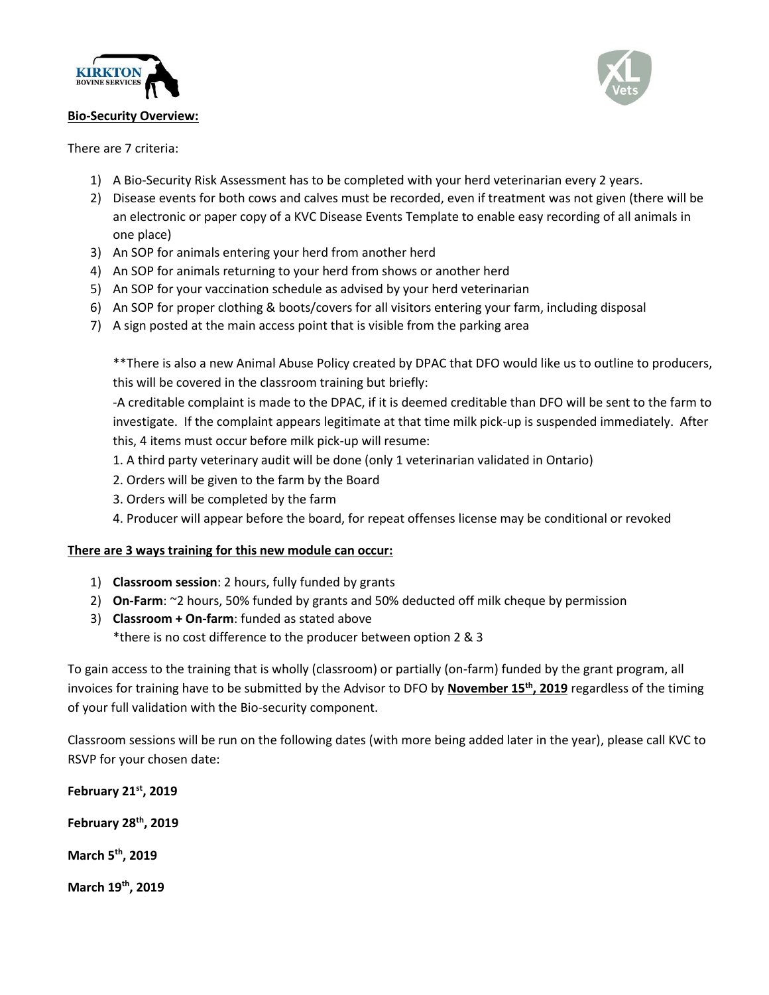

#### **Bio-Security Overview:**



There are 7 criteria:

- 1) A Bio-Security Risk Assessment has to be completed with your herd veterinarian every 2 years.
- 2) Disease events for both cows and calves must be recorded, even if treatment was not given (there will be an electronic or paper copy of a KVC Disease Events Template to enable easy recording of all animals in one place)
- 3) An SOP for animals entering your herd from another herd
- 4) An SOP for animals returning to your herd from shows or another herd
- 5) An SOP for your vaccination schedule as advised by your herd veterinarian
- 6) An SOP for proper clothing & boots/covers for all visitors entering your farm, including disposal
- 7) A sign posted at the main access point that is visible from the parking area

\*\*There is also a new Animal Abuse Policy created by DPAC that DFO would like us to outline to producers, this will be covered in the classroom training but briefly:

-A creditable complaint is made to the DPAC, if it is deemed creditable than DFO will be sent to the farm to investigate. If the complaint appears legitimate at that time milk pick-up is suspended immediately. After this, 4 items must occur before milk pick-up will resume:

- 1. A third party veterinary audit will be done (only 1 veterinarian validated in Ontario)
- 2. Orders will be given to the farm by the Board
- 3. Orders will be completed by the farm
- 4. Producer will appear before the board, for repeat offenses license may be conditional or revoked

#### **There are 3 ways training for this new module can occur:**

- 1) **Classroom session**: 2 hours, fully funded by grants
- 2) **On-Farm**: ~2 hours, 50% funded by grants and 50% deducted off milk cheque by permission
- 3) **Classroom + On-farm**: funded as stated above \*there is no cost difference to the producer between option 2 & 3

To gain access to the training that is wholly (classroom) or partially (on-farm) funded by the grant program, all invoices for training have to be submitted by the Advisor to DFO by **November 15th, 2019** regardless of the timing of your full validation with the Bio-security component.

Classroom sessions will be run on the following dates (with more being added later in the year), please call KVC to RSVP for your chosen date:

**February 21st, 2019 February 28th, 2019 March 5th, 2019 March 19th, 2019**